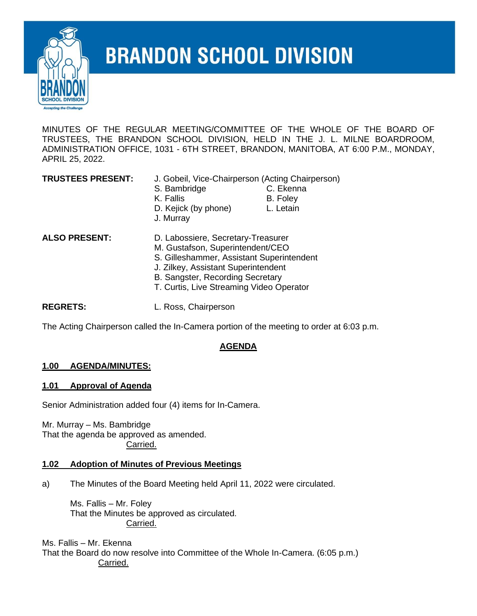

# **BRANDON SCHOOL DIVISION**

MINUTES OF THE REGULAR MEETING/COMMITTEE OF THE WHOLE OF THE BOARD OF TRUSTEES, THE BRANDON SCHOOL DIVISION, HELD IN THE J. L. MILNE BOARDROOM, ADMINISTRATION OFFICE, 1031 - 6TH STREET, BRANDON, MANITOBA, AT 6:00 P.M., MONDAY, APRIL 25, 2022.

**TRUSTEES PRESENT:** J. Gobeil, Vice-Chairperson (Acting Chairperson) S. Bambridge **C. Ekenna** K. Fallis B. Foley D. Kejick (by phone) L. Letain J. Murray

- **ALSO PRESENT:** D. Labossiere, Secretary-Treasurer
	- M. Gustafson, Superintendent/CEO
	- S. Gilleshammer, Assistant Superintendent
	- J. Zilkey, Assistant Superintendent
	- B. Sangster, Recording Secretary
	- T. Curtis, Live Streaming Video Operator

**REGRETS:** L. Ross, Chairperson

The Acting Chairperson called the In-Camera portion of the meeting to order at 6:03 p.m.

# **AGENDA**

### **1.00 AGENDA/MINUTES:**

### **1.01 Approval of Agenda**

Senior Administration added four (4) items for In-Camera.

Mr. Murray – Ms. Bambridge That the agenda be approved as amended. Carried.

### **1.02 Adoption of Minutes of Previous Meetings**

a) The Minutes of the Board Meeting held April 11, 2022 were circulated.

Ms. Fallis – Mr. Foley That the Minutes be approved as circulated. Carried.

Ms. Fallis – Mr. Ekenna That the Board do now resolve into Committee of the Whole In-Camera. (6:05 p.m.) Carried.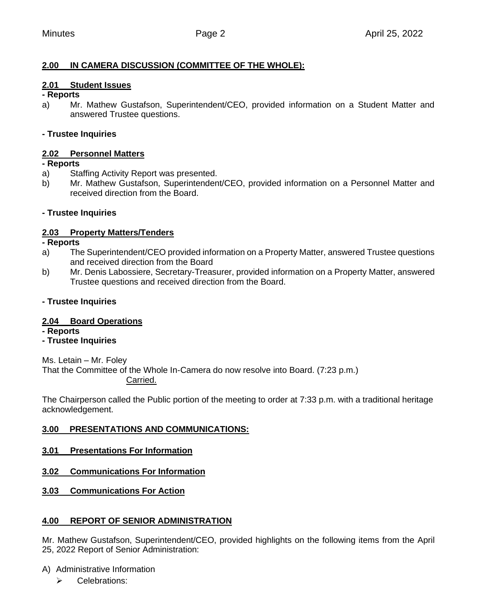# **2.00 IN CAMERA DISCUSSION (COMMITTEE OF THE WHOLE):**

### **2.01 Student Issues**

#### **- Reports**

a) Mr. Mathew Gustafson, Superintendent/CEO, provided information on a Student Matter and answered Trustee questions.

### **- Trustee Inquiries**

### **2.02 Personnel Matters**

#### **- Reports**

- a) Staffing Activity Report was presented.
- b) Mr. Mathew Gustafson, Superintendent/CEO, provided information on a Personnel Matter and received direction from the Board.

### **- Trustee Inquiries**

### **2.03 Property Matters/Tenders**

**- Reports**

- a) The Superintendent/CEO provided information on a Property Matter, answered Trustee questions and received direction from the Board
- b) Mr. Denis Labossiere, Secretary-Treasurer, provided information on a Property Matter, answered Trustee questions and received direction from the Board.

### **- Trustee Inquiries**

### **2.04 Board Operations**

**- Reports**

### **- Trustee Inquiries**

Ms. Letain – Mr. Foley

That the Committee of the Whole In-Camera do now resolve into Board. (7:23 p.m.) Carried.

The Chairperson called the Public portion of the meeting to order at 7:33 p.m. with a traditional heritage acknowledgement.

### **3.00 PRESENTATIONS AND COMMUNICATIONS:**

### **3.01 Presentations For Information**

- **3.02 Communications For Information**
- **3.03 Communications For Action**

### **4.00 REPORT OF SENIOR ADMINISTRATION**

Mr. Mathew Gustafson, Superintendent/CEO, provided highlights on the following items from the April 25, 2022 Report of Senior Administration:

### A) Administrative Information

➢ Celebrations: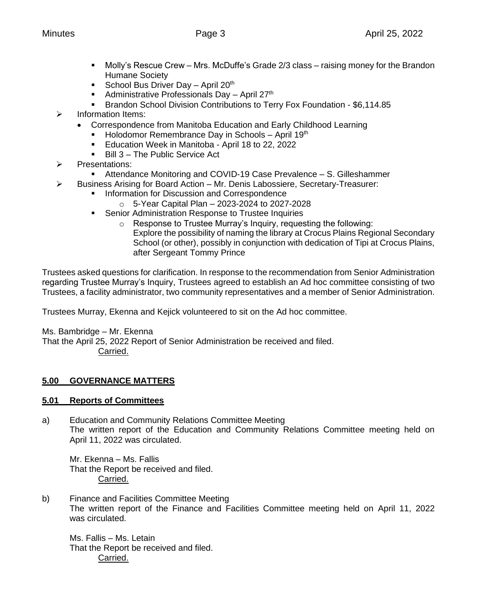- Molly's Rescue Crew Mrs. McDuffe's Grade 2/3 class raising money for the Brandon Humane Society
- **•** School Bus Driver Day April  $20<sup>th</sup>$
- Administrative Professionals Day April 27<sup>th</sup>
- Brandon School Division Contributions to Terry Fox Foundation \$6,114.85
- ➢ Information Items:
	- Correspondence from Manitoba Education and Early Childhood Learning
		- **EXECT** Holodomor Remembrance Day in Schools April 19th
		- Education Week in Manitoba April 18 to 22, 2022
		- Bill 3 The Public Service Act
- ➢ Presentations:
	- Attendance Monitoring and COVID-19 Case Prevalence S. Gilleshammer
- ➢ Business Arising for Board Action Mr. Denis Labossiere, Secretary-Treasurer:
	- **Information for Discussion and Correspondence** 
		- $\circ$  5-Year Capital Plan 2023-2024 to 2027-2028
	- **EXECT:** Senior Administration Response to Trustee Inquiries
		- o Response to Trustee Murray's Inquiry, requesting the following: Explore the possibility of naming the library at Crocus Plains Regional Secondary School (or other), possibly in conjunction with dedication of Tipi at Crocus Plains, after Sergeant Tommy Prince

Trustees asked questions for clarification. In response to the recommendation from Senior Administration regarding Trustee Murray's Inquiry, Trustees agreed to establish an Ad hoc committee consisting of two Trustees, a facility administrator, two community representatives and a member of Senior Administration.

Trustees Murray, Ekenna and Kejick volunteered to sit on the Ad hoc committee.

Ms. Bambridge – Mr. Ekenna

That the April 25, 2022 Report of Senior Administration be received and filed. Carried.

# **5.00 GOVERNANCE MATTERS**

# **5.01 Reports of Committees**

a) Education and Community Relations Committee Meeting The written report of the Education and Community Relations Committee meeting held on April 11, 2022 was circulated.

Mr. Ekenna – Ms. Fallis That the Report be received and filed. Carried.

b) Finance and Facilities Committee Meeting The written report of the Finance and Facilities Committee meeting held on April 11, 2022 was circulated.

Ms. Fallis – Ms. Letain That the Report be received and filed. Carried.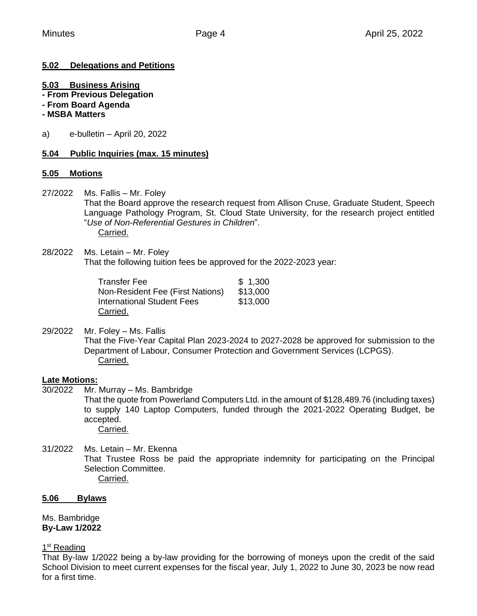# **5.02 Delegations and Petitions**

### **5.03 Business Arising**

- **- From Previous Delegation**
- **- From Board Agenda**

#### **- MSBA Matters**

a) e-bulletin – April 20, 2022

### **5.04 Public Inquiries (max. 15 minutes)**

#### **5.05 Motions**

27/2022 Ms. Fallis – Mr. Foley

That the Board approve the research request from Allison Cruse, Graduate Student, Speech Language Pathology Program, St. Cloud State University, for the research project entitled "*Use of Non-Referential Gestures in Children*". Carried.

28/2022 Ms. Letain – Mr. Foley That the following tuition fees be approved for the 2022-2023 year:

| Transfer Fee                            | \$1,300  |
|-----------------------------------------|----------|
| <b>Non-Resident Fee (First Nations)</b> | \$13,000 |
| International Student Fees              | \$13,000 |
| Carried.                                |          |

29/2022 Mr. Foley – Ms. Fallis That the Five-Year Capital Plan 2023-2024 to 2027-2028 be approved for submission to the Department of Labour, Consumer Protection and Government Services (LCPGS). Carried.

### **Late Motions:**

- 30/2022 Mr. Murray Ms. Bambridge That the quote from Powerland Computers Ltd. in the amount of \$128,489.76 (including taxes) to supply 140 Laptop Computers, funded through the 2021-2022 Operating Budget, be accepted. Carried.
- 31/2022 Ms. Letain Mr. Ekenna That Trustee Ross be paid the appropriate indemnity for participating on the Principal Selection Committee. Carried.

#### **5.06 Bylaws**

Ms. Bambridge **By-Law 1/2022**

1<sup>st</sup> Reading

That By-law 1/2022 being a by-law providing for the borrowing of moneys upon the credit of the said School Division to meet current expenses for the fiscal year, July 1, 2022 to June 30, 2023 be now read for a first time.